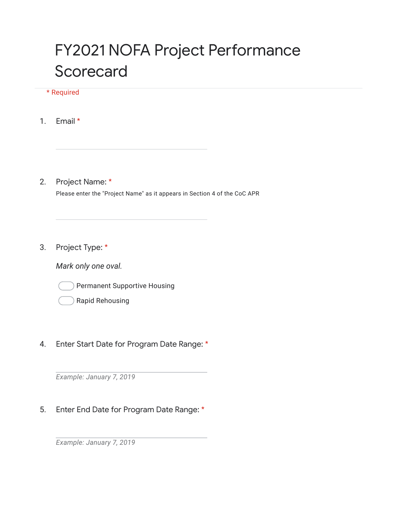## FY2021 NOFA Project Performance **Scorecard**

## \* Required

1. Email \*

2. Project Name: \*

Please enter the "Project Name" as it appears in Section 4 of the CoC APR

3. Project Type: \*

*Mark only one oval.*



## 4. Enter Start Date for Program Date Range: \*

*Example: January 7, 2019*

5. Enter End Date for Program Date Range: \*

*Example: January 7, 2019*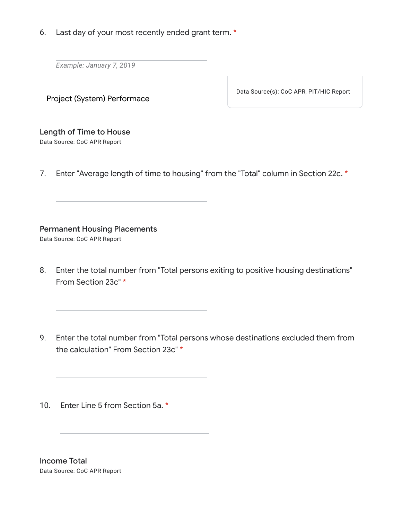6. Last day of your most recently ended grant term. \*

*Example: January 7, 2019*

Project (System) Performace

Data Source(s): CoC APR, PIT/HIC Report

## Length of Time to House

Data Source: CoC APR Report

7. Enter "Average length of time to housing" from the "Total" column in Section 22c. \*

Permanent Housing Placements

Data Source: CoC APR Report

- 8. Enter the total number from "Total persons exiting to positive housing destinations" From Section 23c" \*
- 9. Enter the total number from "Total persons whose destinations excluded them from the calculation" From Section 23c" \*

10. Enter Line 5 from Section 5a. \*

Income Total Data Source: CoC APR Report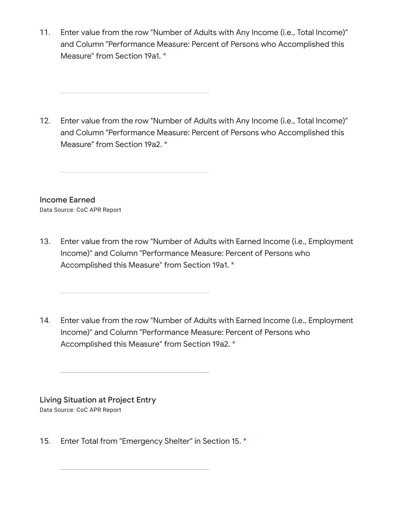11. Enter value from the row "Number of Adults with Any Income (i.e., Total Income)" and Column "Performance Measure: Percent of Persons who Accomplished this Measure" from Section 19a1. \*

12. Enter value from the row "Number of Adults with Any Income (i.e., Total Income)" and Column "Performance Measure: Percent of Persons who Accomplished this Measure" from Section 19a2. \*

Income Earned Data Source: CoC APR Report

- 13. Enter value from the row "Number of Adults with Earned Income (i.e., Employment Income)" and Column "Performance Measure: Percent of Persons who Accomplished this Measure" from Section 19a1. \*
- 14. Enter value from the row "Number of Adults with Earned Income (i.e., Employment Income)" and Column "Performance Measure: Percent of Persons who Accomplished this Measure" from Section 19a2. \*

Living Situation at Project Entry Data Source: CoC APR Report

15. Enter Total from "Emergency Shelter" in Section 15. \*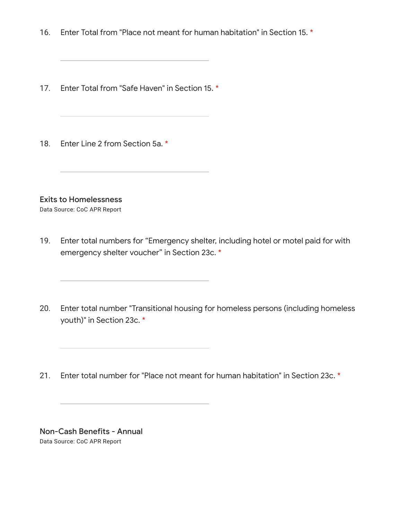- 16. Enter Total from "Place not meant for human habitation" in Section 15. \*
- 17. Enter Total from "Safe Haven" in Section 15. \*
- 18. Enter Line 2 from Section 5a. \*

Exits to Homelessness

Data Source: CoC APR Report

- 19. Enter total numbers for "Emergency shelter, including hotel or motel paid for with emergency shelter voucher" in Section 23c. \*
- 20. Enter total number "Transitional housing for homeless persons (including homeless youth)" in Section 23c. \*
- 21. Enter total number for "Place not meant for human habitation" in Section 23c. \*

Non-Cash Benefits - Annual Data Source: CoC APR Report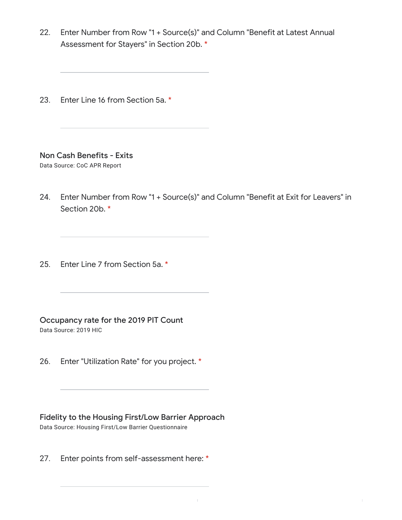22. Enter Number from Row "1 + Source(s)" and Column "Benefit at Latest Annual Assessment for Stayers" in Section 20b. \*

23. Enter Line 16 from Section 5a. \*

Non Cash Benefits - Exits

Data Source: CoC APR Report

- 24. Enter Number from Row "1 + Source(s)" and Column "Benefit at Exit for Leavers" in Section 20b. \*
- 25. Enter Line 7 from Section 5a. \*

Occupancy rate for the 2019 PIT Count

Data Source: 2019 HIC

26. Enter "Utilization Rate" for you project. \*

Fidelity to the Housing First/Low Barrier Approach Data Source: Housing First/Low Barrier Questionnaire

27. Enter points from self-assessment here: \*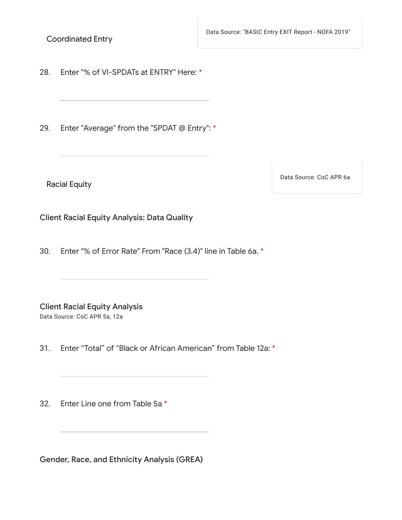Data Source: "BASIC Entry EXIT Report - NOFA 2019"

Coordinated Entry

28. Enter "% of VI-SPDATs at ENTRY" Here: \*

29. Enter "Average" from the "SPDAT @ Entry": \*

Racial Equity

Data Source: CoC APR 6a

Client Racial Equity Analysis: Data Quality

30. Enter "% of Error Rate" From "Race (3.4)" line in Table 6a. \*

Client Racial Equity Analysis Data Source: CoC APR 5a, 12a

31. Enter "Total" of "Black or African American" from Table 12a: \*

32. Enter Line one from Table 5a \*

Gender, Race, and Ethnicity Analysis (GREA)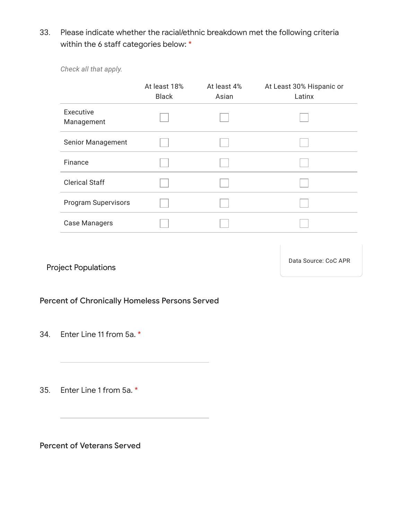33. Please indicate whether the racial/ethnic breakdown met the following criteria within the 6 staff categories below: \*

*Check all that apply.*

|                            | At least 18%<br><b>Black</b> | At least 4%<br>Asian | At Least 30% Hispanic or<br>Latinx |
|----------------------------|------------------------------|----------------------|------------------------------------|
| Executive<br>Management    |                              |                      |                                    |
| Senior Management          |                              |                      |                                    |
| Finance                    |                              |                      |                                    |
| <b>Clerical Staff</b>      |                              |                      |                                    |
| <b>Program Supervisors</b> |                              |                      |                                    |
| <b>Case Managers</b>       |                              |                      |                                    |

Project Populations

Data Source: CoC APR

Percent of Chronically Homeless Persons Served

34. Enter Line 11 from 5a. \*

35. Enter Line 1 from 5a. \*

Percent of Veterans Served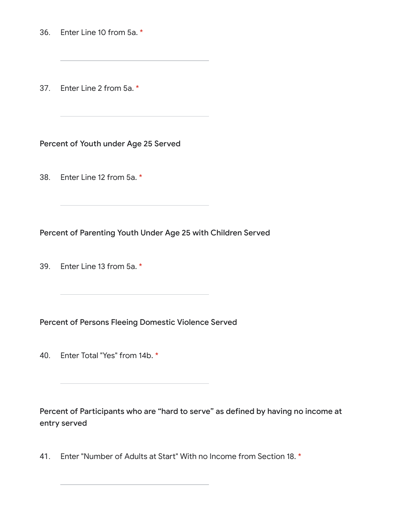36. Enter Line 10 from 5a. \*

37. Enter Line 2 from 5a. \*

Percent of Youth under Age 25 Served

38. Enter Line 12 from 5a. \*

Percent of Parenting Youth Under Age 25 with Children Served

39. Enter Line 13 from 5a. \*

Percent of Persons Fleeing Domestic Violence Served

40. Enter Total "Yes" from 14b. \*

Percent of Participants who are "hard to serve" as defined by having no income at entry served

41. Enter "Number of Adults at Start" With no Income from Section 18. \*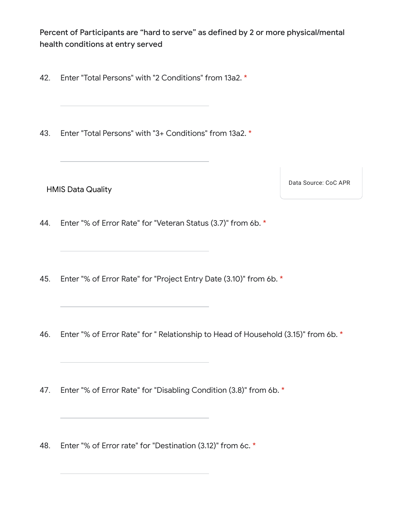Percent of Participants are "hard to serve" as defined by 2 or more physical/mental health conditions at entry served

- 42. Enter "Total Persons" with "2 Conditions" from 13a2. \*
- 43. Enter "Total Persons" with "3+ Conditions" from 13a2. \*

HMIS Data Quality

Data Source: CoC APR

44. Enter "% of Error Rate" for "Veteran Status (3.7)" from 6b. \*

- 45. Enter "% of Error Rate" for "Project Entry Date (3.10)" from 6b. \*
- 46. Enter "% of Error Rate" for " Relationship to Head of Household (3.15)" from 6b. \*

47. Enter "% of Error Rate" for "Disabling Condition (3.8)" from 6b. \*

48. Enter "% of Error rate" for "Destination (3.12)" from 6c. \*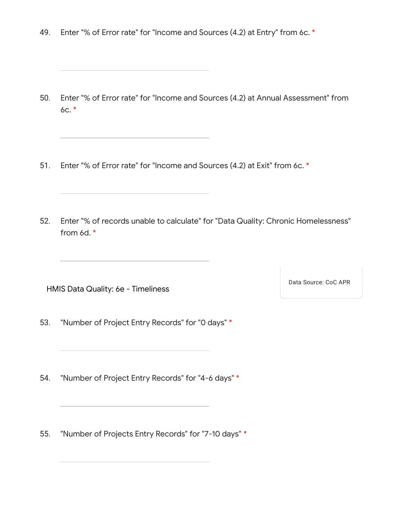49. Enter "% of Error rate" for "Income and Sources (4.2) at Entry" from 6c. \*

- 50. Enter "% of Error rate" for "Income and Sources (4.2) at Annual Assessment" from 6c. \*
- 51. Enter "% of Error rate" for "Income and Sources (4.2) at Exit" from 6c. \*
- 52. Enter "% of records unable to calculate" for "Data Quality: Chronic Homelessness" from 6d. \*

HMIS Data Quality: 6e - Timeliness

Data Source: CoC APR

- 53. "Number of Project Entry Records" for "0 days" \*
- 54. "Number of Project Entry Records" for "4-6 days" \*

55. "Number of Projects Entry Records" for "7-10 days" \*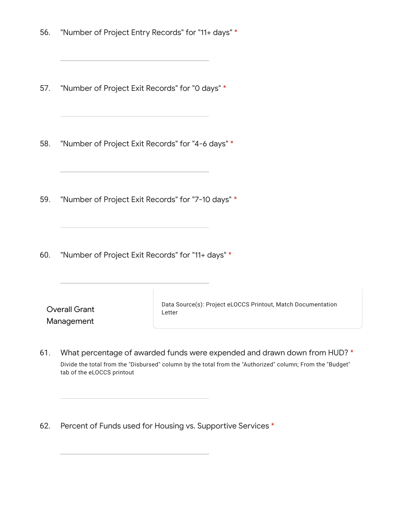- 56. "Number of Project Entry Records" for "11+ days" \*
- 57. "Number of Project Exit Records" for "0 days" \*
- 58. "Number of Project Exit Records" for "4-6 days" \*
- 59. "Number of Project Exit Records" for "7-10 days" \*
- 60. "Number of Project Exit Records" for "11+ days" \*

| <b>Overall Grant</b> |
|----------------------|
| Management           |

Data Source(s): Project eLOCCS Printout, Match Documentation Letter

- 61. What percentage of awarded funds were expended and drawn down from HUD? \* Divide the total from the "Disbursed" column by the total from the "Authorized" column; From the "Budget" tab of the eLOCCS printout
- 62. Percent of Funds used for Housing vs. Supportive Services \*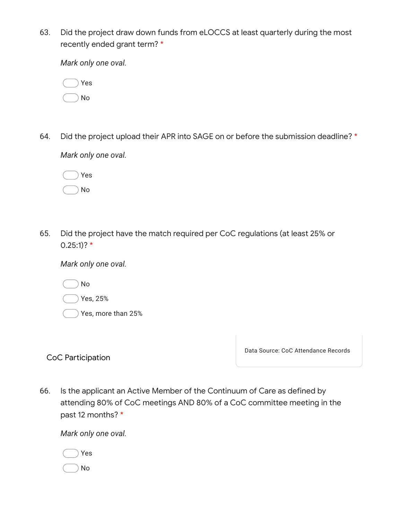63. Did the project draw down funds from eLOCCS at least quarterly during the most recently ended grant term? \*

*Mark only one oval.*

|  | Yes |
|--|-----|
|  | No  |

64. Did the project upload their APR into SAGE on or before the submission deadline? \*

*Mark only one oval.*

|  | Yes |
|--|-----|
|  | No  |

65. Did the project have the match required per CoC regulations (at least 25% or  $0.25:1$ ? \*

*Mark only one oval.*

No

|  |  | Yes, 25% |
|--|--|----------|
|--|--|----------|

Yes, more than 25%

CoC Participation

Data Source: CoC Attendance Records

66. Is the applicant an Active Member of the Continuum of Care as defined by attending 80% of CoC meetings AND 80% of a CoC committee meeting in the past 12 months? \*

*Mark only one oval.*

|  | Yes |
|--|-----|
|  | No  |